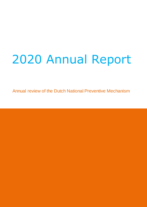# 2020 Annual Report

Annual review of the Dutch National Preventive Mechanism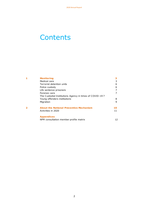# **Contents**

<span id="page-1-0"></span>

| <b>Monitoring</b>                                       |    |
|---------------------------------------------------------|----|
| Medical care                                            |    |
| Terrorist detention units                               | 6  |
| Police custody                                          | 6  |
| Life sentence prisoners                                 |    |
| Forensic care                                           |    |
| The Custodial Institutions Agency in times of COVID-197 |    |
| Young offenders institutions                            | 8  |
| Migration                                               | 9  |
| <b>About the National Preventive Mechanism</b>          |    |
| Activities in 2020                                      | 11 |
| <b>Appendices</b>                                       |    |
| NPM consultation member profile matrix                  |    |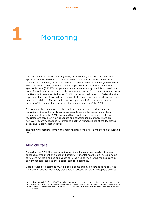

# <span id="page-2-0"></span>**1** Monitoring

No one should be treated in a degrading or humiliating manner. This aim also applies in the Netherlands to those detained, cared for or treated under nonconsensual conditions, or whose freedom has been restricted by the government in any other way. Under the United Nations Optional Protocol to the Convention against Torture (OPCAT)<sup>1</sup>, organisations with a supervisory or advisory role in the area of people whose freedom has been restricted in the Netherlands together form the National Preventive Mechanism (NPM). In this annual report for 2020, the NPM reports on the conditions and the treatment of detainees or people whose freedom has been restricted. This annual report was published after the usual date on account of the exploratory study into the implementation of the NPM.

According to the annual report, the rights of those whose freedom has been restricted in the Netherlands are respected. Based on the outcomes of these monitoring efforts, the NPM concludes that people whose freedom has been restricted are cared for in an adequate and conscientious manner. There are, however, recommendations to further strengthen human rights at the legislative, policy and implementation level.

The following sections contain the main findings of the NPM's monitoring activities in 2020.

# Medical care

j

As part of the NPM, the Health and Youth Care Inspectorate monitors the nonconsensual treatment of clients and patients in mental health care, nursing home care, care for the disabled and youth care, as well as monitoring medical care in asylum seekers' centres and medical care for detainees.

Care provided to detainees must be of the same quality as care received by free members of society. However, those held in prisons or forensic hospitals are not

 $1$  A ccording to Article 3 of the OPCAT, member states are obliged to 's et up, designate or maintain [...] one or s everal visiting bodies for the prevention of torture and other cruel, inhuman or degrading treatment or punishment'. T hese bodies, responsible for c onducting s ite visits within the member state, are referred to as the NPM.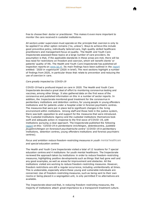

free to choose their doctor or practitioner. This makes it even more important to monitor the care received in custodial institutions.

All sectors under supervision must operate on the principle that coercion is only to be applied if no other option remains ('no, unless'). Ways to achieve this include good preventive policy, individually tailored care, high-quality skilled healthcare practitioners and management focus on quality. The Health and Youth Care Inspectorate assessed these topics at a large number of care providers. Its assumption is that, if the applicable standards in these areas are met, there will be less need for restrictions on freedom and coercion, which will benefit clients' or patients' quality of life. The Health and Youth Care Inspectorate has published all inspection reports on [www.igj.nl.](http://www.igj.nl/) Its main findings have been outlined in the [report](https://www.igj.nl/publicaties/jaarverslagen/2021/02/12/jaarverslag-2020-in-vogelvlucht) entitled: '*2020 in vogelvlucht*' (2020 in brief). The next sections highlight a number of findings from 2020, in particular those that relate to prevention and reducing the use of coercion in care.

#### *Care greatly impacted by COVID-19*

COVID-19 had a profound impact on care in 2020. The Health and Youth Care Inspectorate devoted a great deal of effort to monitoring coronavirus testing and vaccines, among other things. It also gathered data on the first wave of the coronavirus and published information on this in a number of sector reports. In addition, the Inspectorate monitored good treatment for the coronavirus in penitentiary institutions and detention centres, for young people in young offenders institutions and for patients under a hospital order in forensic psychiatric centres. The measures that were put in place led to significant changes in the living environment within institutions. Among staff and those held in the justice system, there was both opposition to and support for the measures that were introduced. The Custodial Institutions Agency and the custodial institutions themselves took swift and adequate action in response to the first wave of COVID-19, with institutions pursuing a clear approach. The Inspectorate published the following [report](https://www.igj.nl/onderwerpen/coronavirus/documenten/rapporten/2020/10/20/factsheet-covid-19-in-penitentiaire-inrichtingen-detentiecentra-justitiele-jeugdinrichtingen-en-forensisch-psychiatrische-centra) on this: '*COVID-19 in penitentiaire inrichtingen, detentiecentra, justitiële jeugdinrichtingen en forensisch psychiatrische centra*' (COVID-19 in penitentiary institutions, detention centres, young offenders institutions and forensic psychiatric centres).

#### *Focus and ambition reduce freedom-restricting measures in youth mental healthcare and special education centres*

The Health and Youth Care Inspectorate visited a total of 12 locations for 7 special education centres and 4 institutions for youth mental healthcare. The Inspectorate reviewed the approach taken by institutions in order to reduce freedom-restricting measures, highlighting positive developments such as things that had gone well and any good examples, as well as areas for improvement and obstacles. All the institutions visited are working to reduce freedom-restricting measures. However, freedom restrictions are still a regular occurrence, including unintentionally at times. This is undesirable, especially where these young and vulnerable individuals are concerned. Use of freedom-restricting measures, such as being sent to their own rooms or being placed in a segregation unit, is only permitted if no alternatives are available.

The Inspectorate observed that, in reducing freedom-restricting measures, the majority of institutions attach great importance to a transparent treatment culture.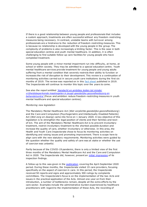

If there is a good relationship between young people and professionals that includes a custom approach, treatments are often successful without any freedom-restricting measures being necessary. In contrast, unstable teams with turnover among professionals are a hindrance to the reduction of freedom-restricting measures. This is because no relationship is developed with the young people in the group. The complexity of problems is also increasingly a limiting factor. This is the case in both special education centres and youth mental healthcare. In addition, it is often challenging to find suitable follow-up care facilities for young people who have completed treatment.

Some young people with a minor mental impairment run into difficulty, at home, at school or within society. They may be admitted to a special education centre. Youth mental healthcare services provide treatment for young people and young adults suffering from a mental condition that severely restricts their ability to function or increases the risk of disruption to their development. This review is a continuation of monitoring activities carried out in secure youth care institutions during the first six months of 2019. The review was reported on in this [fact sheet](https://www.igj.nl/binaries/igj/documenten/publicaties/2019/06/11/factsheet-terugdringen-vrijheidsbeperkende-maatregelen/DEF+IGJ+Factsheet+Terugdringen+vrijheidsbeperkende+maatregelen+toegankelijk.pdf) published in 2019. The Inspectorate will continue to monitor this topic over the years to come.

See also the report entitled *'Aandacht en [ambities leiden tot minder](https://www.igj.nl/actueel/nieuws/2020/06/17/aandacht-en-ambities-leiden-tot-minder-vrijheidsbeperkende-maatregelen-in-jeugd-ggz-en-behandelcentra)  [vrijheidsbeperkende maatregelen in jeugd-geestelijke gezondheidszorg en](https://www.igj.nl/actueel/nieuws/2020/06/17/aandacht-en-ambities-leiden-tot-minder-vrijheidsbeperkende-maatregelen-in-jeugd-ggz-en-behandelcentra)  [behandelcentra](https://www.igj.nl/actueel/nieuws/2020/06/17/aandacht-en-ambities-leiden-tot-minder-vrijheidsbeperkende-maatregelen-in-jeugd-ggz-en-behandelcentra)*' (Focus and ambition reduce freedom-restricting measures in youth mental healthcare and special education centres).

#### *Monitoring new legislation*

The Mandatory Mental Healthcare Act (*Wet verplichte geestelijke gezondheidszorg*) and the Care and Compulsion (Psychogeriatric and Intellectually Disabled Patients) Act (*Wet zorg en dwang*) came into force on 1 January 2020. A key objective of this legislation is to strengthen the legal position of clients and their families and nextof-kin. The aim of the Mandatory Mental Healthcare Act is to prevent involuntary treatment, restrict involuntary treatment to the shortest possible duration and increase the quality of care, whether involuntary or otherwise. In this area, the Health and Youth Care Inspectorate chose to focus its monitoring activities on identifying and raising issues and promoting improvement. There is scope here to align care with the new statutory requirements. Monitoring activities were guided by the question whether the quality and safety of care was at stake or whether the use of coercion was unlawful.

Partly because of the COVID-19 pandemic, there is only a limited view of the first three months of the Mandatory Mental Healthcare Act and the Care and Compulsion Act in 2020. The Inspectorate did, however, present an [initial impression](https://www.igj.nl/onderwerpen/wetten-in-ons-toezicht/documenten/publicaties/2020/06/30/noodzaak-tot-samenwerken-bij-gedwongen-zorg) of its inspection findings.

A follow-up to this was given in the [publication](https://www.igj.nl/publicaties/publicaties/2020/12/02/de-zorgvuldige-uitvoering-van-dwang-in-de-zorg-echt-goed-regelen-kan-alleen-regionaal) covering the April-September 2020 period. During these months, the Inspectorate visited 19 care providers, focusing specifically on the aspect of coercion in care. In this period, the Inspectorate received 50 reports and signs and approximately 300 rulings by complaints committees. The Inspectorate's focus is on the implementation of the two Acts and issues in the practical application of the Acts. Almost one year on from their introduction, a number of bottlenecks remain, despite all the extra efforts by the care sector. Examples include the administrative burden experienced by healthcare practitioners with regard to the implementation of these Acts, the recording of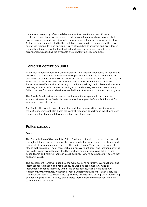

mandatory care and professional development for healthcare practitioners. Healthcare practitioners endeavour to reduce coercion as much as possible, but proper arrangements in relation to key matters are taking too long to put in place. At times, this is complicated further still by the coronavirus measures in the care sector. At regional level in particular, care offices, health insurers and providers in mental healthcare, care for the disabled and care for the elderly must make arrangements regarding the available crisis shelter facilities and beds.

# Terrorist detention units

In the year under review, the Commissions of Oversight for Penitentiary Institutions observed that a number of measures were put in place with regard to individuals suspected or convicted of terrorist offences. One of these is an increase from 7 to 14 available spaces in the terrorist detention unit at the De Schie location of the Rotterdam Penal Institution. Contrary to the individual regime in place and previous policies, a number of activities, including work and sports, are undertaken jointly. Friday prayers for Islamic detainees are held with the imam positioned behind glass.

The Zwolle Penal Institution is also creating additional spaces, in particular for women returnees from Syria who are required to appear before a Dutch court for suspected terrorist crimes.

And finally, the Vught terrorist detention unit has increased its capacity to more than 36 spaces. Vught also hosts the central reception department, which analyses the personal profiles used during selection and placement.

# Police custody

*Police*

The Commissions of Oversight for Police Custody – of which there are ten, spread throughout the country – monitor the accommodation, safety, care, treatment and transport of detainees, as provided by the police forces. This relates to both cell blocks that provide 24-hour care, including an overnight stay, and locations offering only a day room area. Custody facilities include holding rooms available to local police teams and holding rooms in court buildings, where detainees stay before they appear in court.

The assessment framework used by the Commissions naturally covers national and international legislation and regulations, as well as supplementary rules or instructions imposed internally within the police forces, such as the *Landelijk Reglement Arrestantenzorg* (National Police Custody Regulations). Each year, the Commissions consult to choose the topics they will highlight during their monitoring activities in particular. In 2020, these topics were emergency response, medical care and care for minors.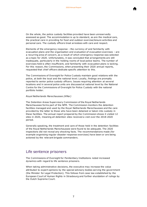

On the whole, the police custody facilities provided have been unreservedly assessed as good. The accommodation is up to standard, as are the medical care, the practical care in providing for food and outdoor exercise/leisure activities and personal care. The custody officers treat arrestees with care and respect.

Elements of the emergency response – the currency of and familiarity with evacuation plans and the organisation and evaluation of evacuation exercises – are a recurring area of concern, as a result of which emergency response was selected as a topic for 2020. Unfortunately, it was concluded that arrangements are still inadequate, particularly in the holding rooms of local police teams. The number of exercises held is often insufficient, and familiarity with evacuation plans is lacking. For this reason, the Commissions, when presenting their 2020 annual reports, requested that chief officers dedicate specific attention to this.

The Commissions of Oversight for Police Custody maintain good relations with the police, at both the local and the national level. Locally, findings are promptly reported to senior police custody officers. Issues requiring attention at several locations and in several police units are discussed at national level by the National Centre for the Commissions of Oversight for Police Custody with the national portfolio holder.

#### *Royal Netherlands Marechaussee (KMar)*

The Detention Areas Supervisory Commission of the Royal Netherlands Marechaussee forms part of the NPM. The Commission monitors the detention facilities managed and used by the Royal Netherlands Marechaussee and the care provided by the latter to those who have been detained or taken into custody in these facilities. The annual report prepared by the Commission shows it visited 12 sites in 2020, meaning all detention sites received a visit over the 2018-2020 period.

Generally speaking, the treatment and care of those held in the detention facilities of the Royal Netherlands Marechaussee were found to be adequate. The 2020 inspections did not reveal any shocking facts. The recommendations made (for example organising regular disaster response exercises) have been or are being actioned by the relevant brigade commanders.

#### Life sentence prisoners

The Commissions of Oversight for Penitentiary Institutions noted increased dynamics with regard to life sentence prisoners.

When taking administrative decisions, the executive may increase the value attributed to expert opinions by the special advisory bodies serving the government (the Minister for Legal Protection). This follows from case law established by the European Court of Human Rights in Strasbourg and further elucidation of rulings by the Dutch Supreme Court.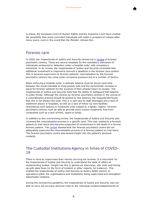

In these, the European Court of Human Rights and the Supreme Court have created the possibility that some convicted individuals still retain a prospect of release after many years, even in the event that the Minister refuses this.

### Forensic care

In 2020, the Inspectorate of Justice and Security carried out a [review](https://www.inspectie-jenv.nl/actueel/nieuws/2020/10/14/inspectie-jenv-onverantwoord-grote-druk-op-fpc’s) of forensic psychiatric centres. These are secure hospitals for the mandatory admission of individuals sentenced to detention under a hospital order with compulsory treatment. In its review, the Inspectorate of Justice and Security concluded that additional investment is required to prevent a deadlock in the forensic care system. This is because supervision of forensic patients' resocialisation by the forensic psychiatric centres has come under excessive pressure due to a number of factors.

When enforcing a hospital order, a delicate balance must be struck each time between the social mandate to keep society safe and the incremental increase in leave for forensic patients for the purpose of their phased return to society. The Inspectorate of Justice and Security feels that the ability to safeguard that balance is under threat. Although the choices by forensic psychiatric centres in the course of a resocialisation process should be guided by this balance, the Inspectorate found that this is not always the case. This is in part due to staff shortages and a lack of treatment places in hospitals, as well as a lack of follow-up care facilities (transitional care spaces) in treatment units subject to a lighter regime. Forensic psychiatric centres must be able to provide more custom treatment, free from constraints such as a lack of time, space or funds.

In addition to this overarching review, the Inspectorate of Justice and Security also reviewed the resocialisation process in a specific case. This case related to a forensic patient on trial leave who became suspected of involvement in the death of a former forensic patient. The [review](https://www.inspectie-jenv.nl/actueel/nieuws/2020/10/14/onvoldoende-regie-fpc-de-oostvaarderskliniek-bij-resocialisatie-tbs-gestelde) showed that the forensic psychiatric centre did not adequately supervise the resocialisation process of a forensic patient on trial leave. The forensic psychiatric centre also lacked insight into the patient's personal contacts.

### The Custodial Institutions Agency in times of COVID-19

There is more to supervision than merely carrying out reviews. It is important for the Inspectorate of Justice and Security to understand the state of affairs at implementing bodies. Insight into this is gained via interviews, site visits and linking up with data flows (in the form of incident or other reports, for instance). This enables the Inspectorate of Justice and Security to build a better picture of operations within the organisations and institutions being supervised and strengthen stakeholder relations.

During the coronavirus pandemic, the Inspectorate of Justice and Security was not able to carry out as many physical visits to the individual locations/departments of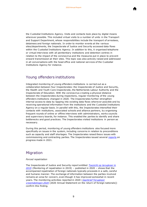

the Custodial Institutions Agency. Visits and contacts took place by digital means wherever possible. This included virtual visits to a number of units in the Transport and Support Department, whose responsibilities include the transport of arrestees, detainees and foreign nationals. In order to monitor events at the various sites/departments, the Inspectorate of Justice and Security accessed data flows within the Custodial Institutions Agency. In addition to this, it organised telephone or virtual interviews with all penitentiary institutions and detention centres in relation to the impact of the coronavirus and the measures put in place to prevent onward transmission at their sites. This topic was also actively raised and addressed in all conversations with the head office and national services of the Custodial Institutions Agency for instance.

# Young offenders institutions

Integrated monitoring of young offenders institutions is carried out as a collaboration between four Inspectorates: the Inspectorate of Justice and Security, the Health and Youth Care Inspectorate, the Netherlands Labour Authority and the Inspectorate of Education. With the coronavirus creating a physical distance between the Inspectorates during inspections, regular monitoring of the young offenders institutions changed in 2020. The Inspectorates further strengthen internal access to data by tapping into existing data flows wherever poss ible and by receiving operational information from the institutions and the Custodial Institutions Agency on a regular basis. In parallel with this, the Inspectorates intensified their contacts with institutions, associated schools and alliance partners, by organising frequent rounds of online or offline interviews with administrators, works councils and supervisory boards, for instance. This enabled the parties to identify and share bottlenecks and good practices. The Inspectorates visited institutions in person as necessary.

During this period, monitoring of young offenders institutions also focused more specifically on issues in the system, including concerns in relation to preconditions such as capacity and staff shortages. The Inspectorates raised these issues with commissioning and contracting parties. The Inspectorates issued several [reports](https://www.inspectie-jenv.nl/actueel/nieuws/2021/03/04/inspecties-houden-zorgen-over-justitiele-jeugdinstellingen-en-scholen) on progress made in 2021.

#### Migration

#### *Forced repatriation*

The Inspectorate of Justice and Security report entitled *[Toezicht op terugkeer in](https://www.inspectie-jenv.nl/actueel/nieuws/2020/08/10/begeleide-terugkeer-2019-informatie-uitwisseling-blijft-een-zorgpunt)  [2019](https://www.inspectie-jenv.nl/actueel/nieuws/2020/08/10/begeleide-terugkeer-2019-informatie-uitwisseling-blijft-een-zorgpunt)* (Monitoring of repatriation in 2019) – published in 2020 – shows that the accompanied repatriation of foreign nationals typically proceeds in a safe, careful and humane manner. The exchange of information between the parties involved remains an area for concern, even though it has improved somewhat in recent years. The monitoring activities reported in 2020 (*[Jaarbrief Terugkeer](https://www.inspectie-jenv.nl/Publicaties/brieven/2021/05/20/brief-jaarbrief-terugkeer-vreemdelingen-2020)  [vreemdelingen 2020](https://www.inspectie-jenv.nl/Publicaties/brieven/2021/05/20/brief-jaarbrief-terugkeer-vreemdelingen-2020)* (2020 Annual Statement on the return of foreign nationals)) confirm this finding.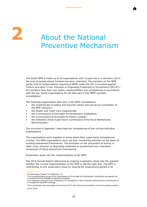Table [of](#page-1-0)  [conte](#page-1-0)



The Dutch NPM is made up of all organisations with a supervisory or advisory role in the area of people whose freedom has been restricted. The members of the NPM jointly hold all authorisations required of NPMs under the UN Convention against Torture and other Cruel, Inhuman or Degrading Treatment or Punishment (OPCAT).<sup>2</sup> All members have their own duties, responsibilities and competences in accordance with the law. Some organisations do not take part in the NPM's periodic consultations.

The following organisations take part in the NPM consultations:

- the Inspectorate of Justice and Security (which also serves as coordinator of the NPM network);
- the Health and Youth Care Inspectorate;
- the Commissions of Oversight for Penitentiary Institutions;  $3$
- the Commissions of Oversight for Police Custody;<sup>4</sup>
- the Detention Areas Supervisory Commission of the Royal Netherlands Marechaussee.<sup>5</sup>

The overview in Appendix I describes the competences of the various individual organisations.

The organisations work together in areas where their supervisory competences overlap. The NPM organisations carry out their monitoring activities on the basis of existing assessment frameworks. The principles on the prevention of torture or other cruel, inhuman or degrading treatment or punishment are a standard component of these assessment frameworks.

#### *Exploratory study into the implementation of the NPM*

The 2019 Annual Report referenced an ongoing exploratory study into the question whether the current implementation of the NPM is still the right one. The NPM is contributing to this exploratory study by sharing the experiences gained in its

j

 $2$  P arliamentary P apers TK 3 3826, N o. 18

The sounding board group of the Commissions of Oversight for Penitentiary I nstitutions represents the C ommissions of Oversight during NPM meetings.

The N ational Centre for the Commissions of O versight for P olice Custody represents the Commissions of O versight during NPM meetings.

 $5$  The Commission was reinstated at the end of 2017 with three new members. A fourth member joined in early 2019.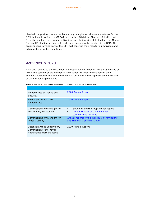

blended composition, as well as by sharing thoughts on alternative set-ups for the NPM that would reflect the OPCAT even better. Whilst the Ministry of Justice and Security has discussed an alternative implementation with stakeholders, the Minister for Legal Protection has not yet made any changes to the design of the NPM. The organisations forming part of the NPM will continue their monitoring activities and advisory tasks in the meantime.

# Activities in 2020

Activities relating to the restriction and deprivation of freedom are partly carried out within the context of the members' NPM duties. Further information on their activities outside of the above themes can be found in the separate annual reports of the various organisations.

|  |  |  |  |  | Tabel a. Activities in relation to restrictions of freedom and deprivation of liberty |  |
|--|--|--|--|--|---------------------------------------------------------------------------------------|--|
|--|--|--|--|--|---------------------------------------------------------------------------------------|--|

| Inspectorate of Justice and<br>Security                                            | 2020 Annual Report                                                                                          |
|------------------------------------------------------------------------------------|-------------------------------------------------------------------------------------------------------------|
| <b>Health and Youth Care</b><br>Inspectorate                                       | 2020 Annual Report                                                                                          |
| Commissions of Oversight for<br>Penitentiary Institutions                          | Sounding board group annual report<br>Annual reports of the individual<br>$\bullet$<br>commissions for 2020 |
| <b>Commissions of Oversight for</b><br>Police Custody                              | Annual reports of the individual commissions<br>and National Centre for 2020                                |
| Detention Areas Supervisory<br>Commission of the Royal<br>Netherlands Marechaussee | 2020 Annual Report                                                                                          |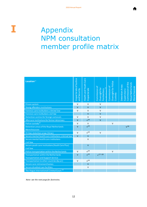

# **I** Appendix NPM consultation member profile matrix

Table [of](#page-1-0)  [conte](#page-1-0)

| Location <sup>12</sup>                                        | Inspectorate of Justice<br>and Security | Health and Youth Care<br>Inspectorate | Commission of<br>$\overline{13}$<br>Oversight for<br>Penitentiary<br>计开始 | Oversight for Police<br>Commission of<br>Custody | Commission of the<br>Royal Netherlands<br>Detention Areas<br>Marechaussee<br>Supervisory |
|---------------------------------------------------------------|-----------------------------------------|---------------------------------------|--------------------------------------------------------------------------|--------------------------------------------------|------------------------------------------------------------------------------------------|
| Prison system                                                 | $\vee$                                  | $\vee$                                | $\vee$                                                                   |                                                  |                                                                                          |
| Young offenders institutions                                  | $\vee$                                  | $\vee$                                | $\vee$                                                                   |                                                  |                                                                                          |
| Forensic care institutions criminal law                       | $\vee$                                  | $\vee$                                | $\vee$                                                                   |                                                  |                                                                                          |
| Forensic care institutions civil law                          |                                         | $\vee$                                | $\vee$                                                                   |                                                  |                                                                                          |
| Detention centres for foreign nationals                       | $\vee$                                  | $\vee$                                | $\vee$                                                                   |                                                  |                                                                                          |
| Aftercare institutions for former detainees                   | $\vee$                                  | $v^{14}$                              | $\vee$                                                                   |                                                  |                                                                                          |
| Police custody <sup>15</sup>                                  | $\vee$                                  | $\vee$                                |                                                                          | $\vee$                                           |                                                                                          |
| Detention areas of the Royal Netherlands                      | $\vee$                                  | $v^{14}$                              |                                                                          |                                                  | V <sup>16</sup>                                                                          |
| Marechaussee                                                  |                                         |                                       |                                                                          |                                                  |                                                                                          |
| Military detention areas (Stroe)                              | $\vee$                                  | $v^{14}$                              | $\vee$                                                                   |                                                  |                                                                                          |
| Secure mental health care institutions criminal law           | $\vee$                                  | $\vee$                                |                                                                          |                                                  |                                                                                          |
| Secure mental health care institutions                        |                                         | $\vee$                                |                                                                          |                                                  |                                                                                          |
| civil law                                                     |                                         |                                       |                                                                          |                                                  |                                                                                          |
| Secure youth care institutions (Youth Care Plus)<br>civil law |                                         | $\vee$                                |                                                                          |                                                  |                                                                                          |
| Police transportation within the Netherlands                  | $\vee$                                  | $v^{14}$                              |                                                                          | $\vee$                                           |                                                                                          |
| Transportation within the Netherlands                         | $\vee$                                  | $v^{14}$                              | $v^{17-18}$                                                              |                                                  |                                                                                          |
| <b>Transportation and Support Service</b>                     |                                         |                                       |                                                                          |                                                  |                                                                                          |
| Transportation to other countries (by air)                    | $\vee$                                  | $v^{14}$                              |                                                                          |                                                  |                                                                                          |
| Secure care retirement homes                                  |                                         | $\vee$                                |                                                                          |                                                  |                                                                                          |
| Secure disabled care facilities                               |                                         | $\vee$                                |                                                                          |                                                  |                                                                                          |
| The Hague International Criminal Court <sup>19</sup>          |                                         |                                       |                                                                          |                                                  |                                                                                          |

*Note: see the next page for footnotes.*

12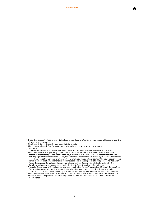2020 Annual Report

Table [of](#page-1-0)  [conte](#page-1-0)



<sup>13</sup> The Commission of Oversight also has a judicial function.

<sup>&</sup>lt;sup>14</sup> The Health and Y outh Care I nspectorate monitors locations where care is provided or withheld.

<sup>&</sup>lt;sup>15</sup> Includes court police and railway police holding locations and mobile police detention complexes. <sup>16</sup> T he Detention Areas Supervisory Commission of the Royal Netherlands Marechaussee monitors all detention areas managed and used by the Royal Netherlands Marechaussee. I n accordance with new working agreements from October 2018, this Commission monitors cells leased by the Royal Netherlands M arechaussee at the Schiphol Criminal Justice Complex and the waiting rooms in the c ourt section of this c omplex where the Royal N etherlands M arechaussee acts in the c apacity of c ourt police. T he Detention A reas Supervisory Commission does not handle complaints. C omplaints relating to actions by Royal

Dutch Marechaussee employees are handled by the Defence Complaints Commission.<br><sup>17</sup> A s pecial Commission of O versight has also been established for the Transport and Support Service. This C ommission c arries out monitoring activities and makes recommendations, but does not handle

c omplaints. C omplaints are handled by the relevant penitentiary institution's Commission of O versight. <sup>18</sup> The Commission of Oversight for the Transport and Support Service does not monitor the Transferium.

<sup>&</sup>lt;sup>19</sup> The Red Cross is responsible for monitoring the conditions and treatment of those who have been inc arcerated.